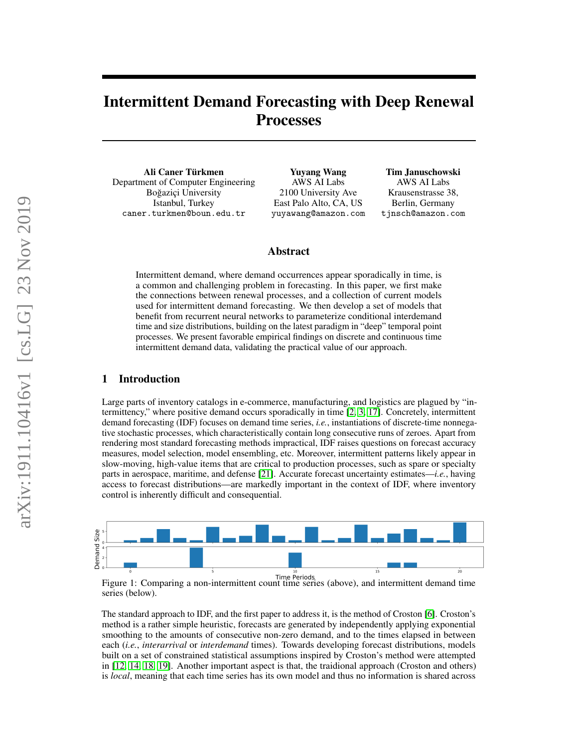# Intermittent Demand Forecasting with Deep Renewal Processes

Ali Caner Türkmen Department of Computer Engineering Boğaziçi University Istanbul, Turkey caner.turkmen@boun.edu.tr

Yuyang Wang AWS AI Labs 2100 University Ave East Palo Alto, CA, US yuyawang@amazon.com

#### Tim Januschowski AWS AI Labs

Krausenstrasse 38, Berlin, Germany tjnsch@amazon.com

## Abstract

Intermittent demand, where demand occurrences appear sporadically in time, is a common and challenging problem in forecasting. In this paper, we first make the connections between renewal processes, and a collection of current models used for intermittent demand forecasting. We then develop a set of models that benefit from recurrent neural networks to parameterize conditional interdemand time and size distributions, building on the latest paradigm in "deep" temporal point processes. We present favorable empirical findings on discrete and continuous time intermittent demand data, validating the practical value of our approach.

## 1 Introduction

Large parts of inventory catalogs in e-commerce, manufacturing, and logistics are plagued by "intermittency," where positive demand occurs sporadically in time [\[2,](#page-4-0) [3,](#page-4-1) [17\]](#page-4-2). Concretely, intermittent demand forecasting (IDF) focuses on demand time series, *i.e.*, instantiations of discrete-time nonnegative stochastic processes, which characteristically contain long consecutive runs of zeroes. Apart from rendering most standard forecasting methods impractical, IDF raises questions on forecast accuracy measures, model selection, model ensembling, etc. Moreover, intermittent patterns likely appear in slow-moving, high-value items that are critical to production processes, such as spare or specialty parts in aerospace, maritime, and defense [\[21\]](#page-5-0). Accurate forecast uncertainty estimates—*i.e.*, having access to forecast distributions—are markedly important in the context of IDF, where inventory control is inherently difficult and consequential.



series (below).

The standard approach to IDF, and the first paper to address it, is the method of Croston [\[6\]](#page-4-3). Croston's method is a rather simple heuristic, forecasts are generated by independently applying exponential smoothing to the amounts of consecutive non-zero demand, and to the times elapsed in between each (*i.e.*, *interarrival* or *interdemand* times). Towards developing forecast distributions, models built on a set of constrained statistical assumptions inspired by Croston's method were attempted in [\[12,](#page-4-4) [14,](#page-4-5) [18,](#page-4-6) [19\]](#page-4-7). Another important aspect is that, the traidional approach (Croston and others) is *local*, meaning that each time series has its own model and thus no information is shared across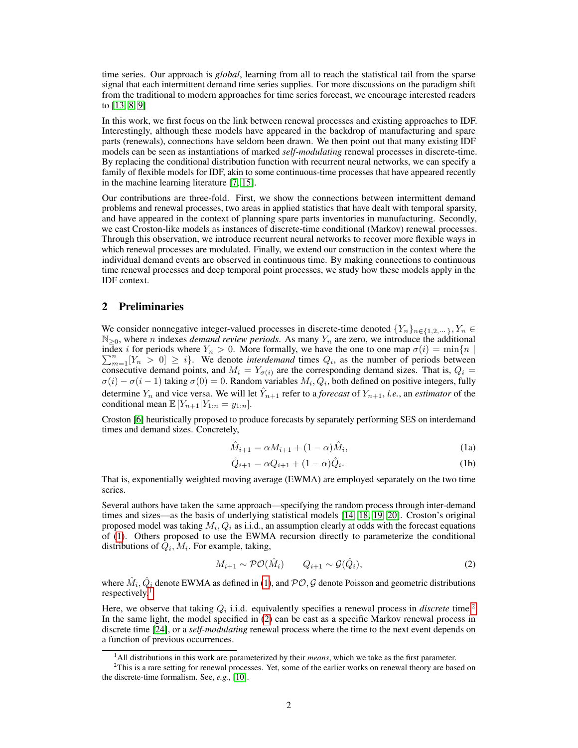time series. Our approach is *global*, learning from all to reach the statistical tail from the sparse signal that each intermittent demand time series supplies. For more discussions on the paradigm shift from the traditional to modern approaches for time series forecast, we encourage interested readers to [\[13,](#page-4-8) [8,](#page-4-9) [9\]](#page-4-10)

In this work, we first focus on the link between renewal processes and existing approaches to IDF. Interestingly, although these models have appeared in the backdrop of manufacturing and spare parts (renewals), connections have seldom been drawn. We then point out that many existing IDF models can be seen as instantiations of marked *self-modulating* renewal processes in discrete-time. By replacing the conditional distribution function with recurrent neural networks, we can specify a family of flexible models for IDF, akin to some continuous-time processes that have appeared recently in the machine learning literature [\[7,](#page-4-11) [15\]](#page-4-12).

Our contributions are three-fold. First, we show the connections between intermittent demand problems and renewal processes, two areas in applied statistics that have dealt with temporal sparsity, and have appeared in the context of planning spare parts inventories in manufacturing. Secondly, we cast Croston-like models as instances of discrete-time conditional (Markov) renewal processes. Through this observation, we introduce recurrent neural networks to recover more flexible ways in which renewal processes are modulated. Finally, we extend our construction in the context where the individual demand events are observed in continuous time. By making connections to continuous time renewal processes and deep temporal point processes, we study how these models apply in the IDF context.

## 2 Preliminaries

We consider nonnegative integer-valued processes in discrete-time denoted  $\{Y_n\}_{n\in\{1,2,\dots\}}$ ,  $Y_n \in$  $\mathbb{N}_{\geq 0}$ , where *n* indexes *demand review periods*. As many  $Y_n$  are zero, we introduce the additional index *i* for periods where  $Y_n > 0$ . More formally, we have the one to one map  $\sigma(i) = \min\{n \mid n\}$  $\sum_{m=1}^{n} [Y_n > 0] \geq i$ . We denote *interdemand* times  $Q_i$ , as the number of periods between consecutive demand points, and  $M_i = Y_{\sigma(i)}$  are the corresponding demand sizes. That is,  $Q_i =$  $\sigma(i) - \sigma(i-1)$  taking  $\sigma(0) = 0$ . Random variables  $M_i, Q_i$ , both defined on positive integers, fully determine  $Y_n$  and vice versa. We will let  $\hat{Y}_{n+1}$  refer to a *forecast* of  $Y_{n+1}$ , *i.e.*, an *estimator* of the conditional mean  $\mathbb{E}[Y_{n+1}|Y_{1:n} = y_{1:n}].$ 

Croston [\[6\]](#page-4-3) heuristically proposed to produce forecasts by separately performing SES on interdemand times and demand sizes. Concretely,

<span id="page-1-0"></span>
$$
\hat{M}_{i+1} = \alpha M_{i+1} + (1 - \alpha) \hat{M}_i,
$$
\n(1a)

<span id="page-1-3"></span>
$$
\hat{Q}_{i+1} = \alpha Q_{i+1} + (1 - \alpha)\hat{Q}_i.
$$
\n(1b)

That is, exponentially weighted moving average (EWMA) are employed separately on the two time series.

Several authors have taken the same approach—specifying the random process through inter-demand times and sizes—as the basis of underlying statistical models [\[14,](#page-4-5) [18,](#page-4-6) [19,](#page-4-7) [20\]](#page-5-1). Croston's original proposed model was taking  $M_i, Q_i$  as i.i.d., an assumption clearly at odds with the forecast equations of [\(1\)](#page-1-0). Others proposed to use the EWMA recursion directly to parameterize the conditional distributions of  $Q_i$ ,  $M_i$ . For example, taking,

$$
M_{i+1} \sim \mathcal{PO}(\hat{M}_i) \qquad Q_{i+1} \sim \mathcal{G}(\hat{Q}_i),\tag{2}
$$

where  $\hat{M}_i, \hat{Q}_i$  denote EWMA as defined in [\(1\)](#page-1-0), and  $\mathcal{PO}, \mathcal{G}$  denote Poisson and geometric distributions respectively.<sup>[1](#page-1-1)</sup>

Here, we observe that taking  $Q_i$  i.i.d. equivalently specifies a renewal process in *discrete* time.<sup>[2](#page-1-2)</sup> In the same light, the model specified in [\(2\)](#page-1-3) can be cast as a specific Markov renewal process in discrete time [\[24\]](#page-5-2), or a *self-modulating* renewal process where the time to the next event depends on a function of previous occurrences.

<span id="page-1-2"></span><span id="page-1-1"></span><sup>1</sup>All distributions in this work are parameterized by their *means*, which we take as the first parameter.

<sup>&</sup>lt;sup>2</sup>This is a rare setting for renewal processes. Yet, some of the earlier works on renewal theory are based on the discrete-time formalism. See, *e.g.*, [\[10\]](#page-4-13).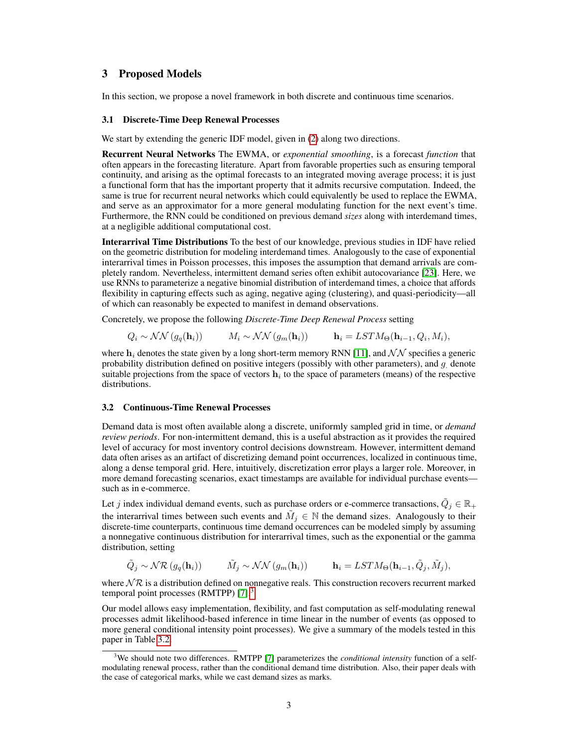## 3 Proposed Models

In this section, we propose a novel framework in both discrete and continuous time scenarios.

#### 3.1 Discrete-Time Deep Renewal Processes

We start by extending the generic IDF model, given in  $(2)$  along two directions.

Recurrent Neural Networks The EWMA, or *exponential smoothing*, is a forecast *function* that often appears in the forecasting literature. Apart from favorable properties such as ensuring temporal continuity, and arising as the optimal forecasts to an integrated moving average process; it is just a functional form that has the important property that it admits recursive computation. Indeed, the same is true for recurrent neural networks which could equivalently be used to replace the EWMA, and serve as an approximator for a more general modulating function for the next event's time. Furthermore, the RNN could be conditioned on previous demand *sizes* along with interdemand times, at a negligible additional computational cost.

Interarrival Time Distributions To the best of our knowledge, previous studies in IDF have relied on the geometric distribution for modeling interdemand times. Analogously to the case of exponential interarrival times in Poisson processes, this imposes the assumption that demand arrivals are completely random. Nevertheless, intermittent demand series often exhibit autocovariance [\[23\]](#page-5-3). Here, we use RNNs to parameterize a negative binomial distribution of interdemand times, a choice that affords flexibility in capturing effects such as aging, negative aging (clustering), and quasi-periodicity—all of which can reasonably be expected to manifest in demand observations.

Concretely, we propose the following *Discrete-Time Deep Renewal Process* setting

$$
Q_i \sim \mathcal{NN}(g_q(\mathbf{h}_i)) \qquad M_i \sim \mathcal{NN}(g_m(\mathbf{h}_i)) \qquad \mathbf{h}_i = LSTM_{\Theta}(\mathbf{h}_{i-1}, Q_i, M_i),
$$

where  $h_i$  denotes the state given by a long short-term memory RNN [\[11\]](#page-4-14), and  $\mathcal{NN}$  specifies a generic probability distribution defined on positive integers (possibly with other parameters), and  $g$  denote suitable projections from the space of vectors  $\mathbf{h}_i$  to the space of parameters (means) of the respective distributions.

#### <span id="page-2-1"></span>3.2 Continuous-Time Renewal Processes

Demand data is most often available along a discrete, uniformly sampled grid in time, or *demand review periods*. For non-intermittent demand, this is a useful abstraction as it provides the required level of accuracy for most inventory control decisions downstream. However, intermittent demand data often arises as an artifact of discretizing demand point occurrences, localized in continuous time, along a dense temporal grid. Here, intuitively, discretization error plays a larger role. Moreover, in more demand forecasting scenarios, exact timestamps are available for individual purchase events such as in e-commerce.

Let j index individual demand events, such as purchase orders or e-commerce transactions,  $\tilde{Q}_j \in \mathbb{R}_+$ the interarrival times between such events and  $\tilde{M}_j \in \mathbb{N}$  the demand sizes. Analogously to their discrete-time counterparts, continuous time demand occurrences can be modeled simply by assuming a nonnegative continuous distribution for interarrival times, such as the exponential or the gamma distribution, setting

$$
\tilde{Q}_j \sim \mathcal{NR}\left(g_q(\mathbf{h}_i)\right) \qquad \tilde{M}_j \sim \mathcal{NN}\left(g_m(\mathbf{h}_i)\right) \qquad \mathbf{h}_i = LSTM_\Theta(\mathbf{h}_{i-1}, \tilde{Q}_j, \tilde{M}_j),
$$

where  $\mathcal{NR}$  is a distribution defined on nonnegative reals. This construction recovers recurrent marked temporal point processes (RMTPP)  $[7]$ .<sup>[3](#page-2-0)</sup>

Our model allows easy implementation, flexibility, and fast computation as self-modulating renewal processes admit likelihood-based inference in time linear in the number of events (as opposed to more general conditional intensity point processes). We give a summary of the models tested in this paper in Table [3.2.](#page-2-1)

<span id="page-2-0"></span><sup>3</sup>We should note two differences. RMTPP [\[7\]](#page-4-11) parameterizes the *conditional intensity* function of a selfmodulating renewal process, rather than the conditional demand time distribution. Also, their paper deals with the case of categorical marks, while we cast demand sizes as marks.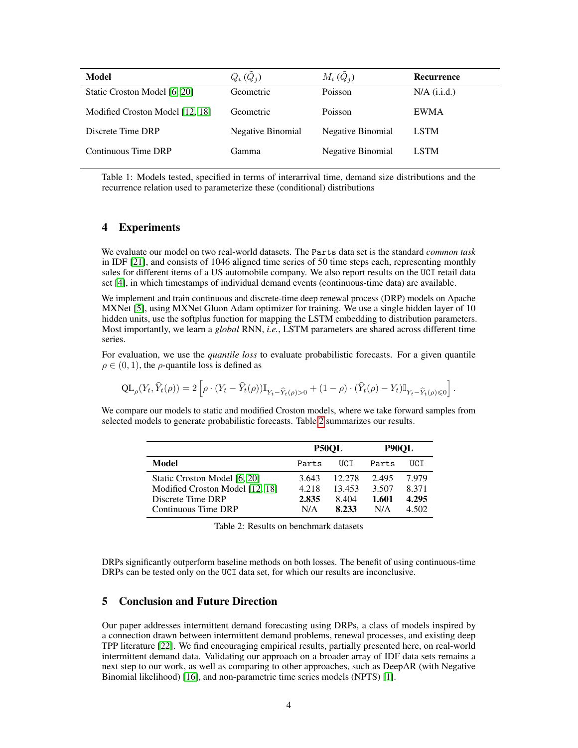| Model                           | $Q_i(Q_j)$        | $M_i(Q_i)$        | Recurrence     |
|---------------------------------|-------------------|-------------------|----------------|
| Static Croston Model [6, 20]    | Geometric         | Poisson           | $N/A$ (i.i.d.) |
| Modified Croston Model [12, 18] | Geometric         | Poisson           | <b>EWMA</b>    |
| Discrete Time DRP               | Negative Binomial | Negative Binomial | <b>LSTM</b>    |
| Continuous Time DRP             | <b>Gamma</b>      | Negative Binomial | <b>LSTM</b>    |

Table 1: Models tested, specified in terms of interarrival time, demand size distributions and the recurrence relation used to parameterize these (conditional) distributions

## 4 Experiments

We evaluate our model on two real-world datasets. The Parts data set is the standard *common task* in IDF [\[21\]](#page-5-0), and consists of 1046 aligned time series of 50 time steps each, representing monthly sales for different items of a US automobile company. We also report results on the UCI retail data set [\[4\]](#page-4-15), in which timestamps of individual demand events (continuous-time data) are available.

We implement and train continuous and discrete-time deep renewal process (DRP) models on Apache MXNet [\[5\]](#page-4-16), using MXNet Gluon Adam optimizer for training. We use a single hidden layer of 10 hidden units, use the softplus function for mapping the LSTM embedding to distribution parameters. Most importantly, we learn a *global* RNN, *i.e.*, LSTM parameters are shared across different time series.

For evaluation, we use the *quantile loss* to evaluate probabilistic forecasts. For a given quantile  $\rho \in (0, 1)$ , the  $\rho$ -quantile loss is defined as

$$
\mathrm{QL}_\rho(Y_t,\widehat{Y}_t(\rho)) = 2\left[\rho\cdot(Y_t-\widehat{Y}_t(\rho))\mathbb{I}_{Y_t-\widehat{Y}_t(\rho)>0}+(1-\rho)\cdot(\widehat{Y}_t(\rho)-Y_t)\mathbb{I}_{Y_t-\widehat{Y}_t(\rho)\leqslant 0}\right].
$$

We compare our models to static and modified Croston models, where we take forward samples from selected models to generate probabilistic forecasts. Table [2](#page-3-0) summarizes our results.

|                                                                                                             | <b>P50OL</b>                   |                                    | P90OL                          |                                  |
|-------------------------------------------------------------------------------------------------------------|--------------------------------|------------------------------------|--------------------------------|----------------------------------|
| Model                                                                                                       | Parts                          | UCT                                | Parts                          | UCT                              |
| Static Croston Model [6, 20]<br>Modified Croston Model [12, 18]<br>Discrete Time DRP<br>Continuous Time DRP | 3.643<br>4.218<br>2.835<br>N/A | 12.278<br>13.453<br>8.404<br>8.233 | 2.495<br>3.507<br>1.601<br>N/A | 7.979<br>8.371<br>4.295<br>4.502 |

<span id="page-3-0"></span>Table 2: Results on benchmark datasets

DRPs significantly outperform baseline methods on both losses. The benefit of using continuous-time DRPs can be tested only on the UCI data set, for which our results are inconclusive.

## 5 Conclusion and Future Direction

Our paper addresses intermittent demand forecasting using DRPs, a class of models inspired by a connection drawn between intermittent demand problems, renewal processes, and existing deep TPP literature [\[22\]](#page-5-4). We find encouraging empirical results, partially presented here, on real-world intermittent demand data. Validating our approach on a broader array of IDF data sets remains a next step to our work, as well as comparing to other approaches, such as DeepAR (with Negative Binomial likelihood) [\[16\]](#page-4-17), and non-parametric time series models (NPTS) [\[1\]](#page-4-18).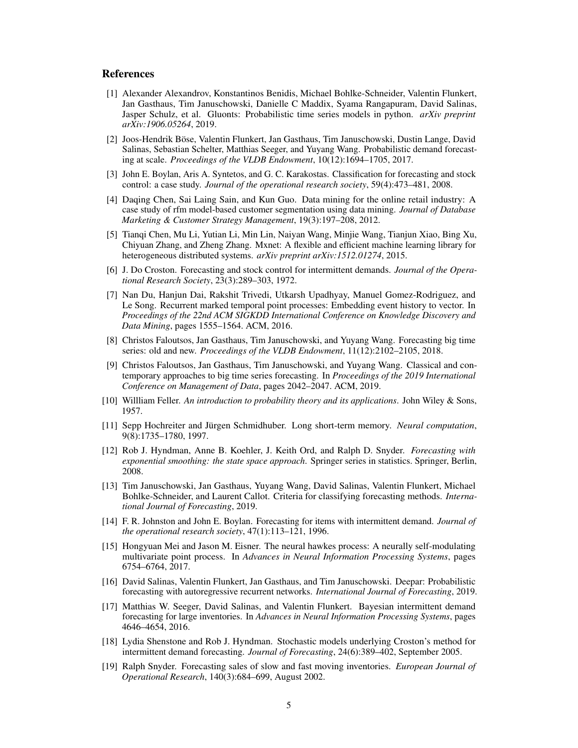## References

- <span id="page-4-18"></span>[1] Alexander Alexandrov, Konstantinos Benidis, Michael Bohlke-Schneider, Valentin Flunkert, Jan Gasthaus, Tim Januschowski, Danielle C Maddix, Syama Rangapuram, David Salinas, Jasper Schulz, et al. Gluonts: Probabilistic time series models in python. *arXiv preprint arXiv:1906.05264*, 2019.
- <span id="page-4-0"></span>[2] Joos-Hendrik Böse, Valentin Flunkert, Jan Gasthaus, Tim Januschowski, Dustin Lange, David Salinas, Sebastian Schelter, Matthias Seeger, and Yuyang Wang. Probabilistic demand forecasting at scale. *Proceedings of the VLDB Endowment*, 10(12):1694–1705, 2017.
- <span id="page-4-1"></span>[3] John E. Boylan, Aris A. Syntetos, and G. C. Karakostas. Classification for forecasting and stock control: a case study. *Journal of the operational research society*, 59(4):473–481, 2008.
- <span id="page-4-15"></span>[4] Daqing Chen, Sai Laing Sain, and Kun Guo. Data mining for the online retail industry: A case study of rfm model-based customer segmentation using data mining. *Journal of Database Marketing & Customer Strategy Management*, 19(3):197–208, 2012.
- <span id="page-4-16"></span>[5] Tianqi Chen, Mu Li, Yutian Li, Min Lin, Naiyan Wang, Minjie Wang, Tianjun Xiao, Bing Xu, Chiyuan Zhang, and Zheng Zhang. Mxnet: A flexible and efficient machine learning library for heterogeneous distributed systems. *arXiv preprint arXiv:1512.01274*, 2015.
- <span id="page-4-3"></span>[6] J. Do Croston. Forecasting and stock control for intermittent demands. *Journal of the Operational Research Society*, 23(3):289–303, 1972.
- <span id="page-4-11"></span>[7] Nan Du, Hanjun Dai, Rakshit Trivedi, Utkarsh Upadhyay, Manuel Gomez-Rodriguez, and Le Song. Recurrent marked temporal point processes: Embedding event history to vector. In *Proceedings of the 22nd ACM SIGKDD International Conference on Knowledge Discovery and Data Mining*, pages 1555–1564. ACM, 2016.
- <span id="page-4-9"></span>[8] Christos Faloutsos, Jan Gasthaus, Tim Januschowski, and Yuyang Wang. Forecasting big time series: old and new. *Proceedings of the VLDB Endowment*, 11(12):2102–2105, 2018.
- <span id="page-4-10"></span>[9] Christos Faloutsos, Jan Gasthaus, Tim Januschowski, and Yuyang Wang. Classical and contemporary approaches to big time series forecasting. In *Proceedings of the 2019 International Conference on Management of Data*, pages 2042–2047. ACM, 2019.
- <span id="page-4-13"></span>[10] Willliam Feller. *An introduction to probability theory and its applications*. John Wiley & Sons, 1957.
- <span id="page-4-14"></span>[11] Sepp Hochreiter and Jürgen Schmidhuber. Long short-term memory. *Neural computation*, 9(8):1735–1780, 1997.
- <span id="page-4-4"></span>[12] Rob J. Hyndman, Anne B. Koehler, J. Keith Ord, and Ralph D. Snyder. *Forecasting with exponential smoothing: the state space approach*. Springer series in statistics. Springer, Berlin, 2008.
- <span id="page-4-8"></span>[13] Tim Januschowski, Jan Gasthaus, Yuyang Wang, David Salinas, Valentin Flunkert, Michael Bohlke-Schneider, and Laurent Callot. Criteria for classifying forecasting methods. *International Journal of Forecasting*, 2019.
- <span id="page-4-5"></span>[14] F. R. Johnston and John E. Boylan. Forecasting for items with intermittent demand. *Journal of the operational research society*, 47(1):113–121, 1996.
- <span id="page-4-12"></span>[15] Hongyuan Mei and Jason M. Eisner. The neural hawkes process: A neurally self-modulating multivariate point process. In *Advances in Neural Information Processing Systems*, pages 6754–6764, 2017.
- <span id="page-4-17"></span>[16] David Salinas, Valentin Flunkert, Jan Gasthaus, and Tim Januschowski. Deepar: Probabilistic forecasting with autoregressive recurrent networks. *International Journal of Forecasting*, 2019.
- <span id="page-4-2"></span>[17] Matthias W. Seeger, David Salinas, and Valentin Flunkert. Bayesian intermittent demand forecasting for large inventories. In *Advances in Neural Information Processing Systems*, pages 4646–4654, 2016.
- <span id="page-4-6"></span>[18] Lydia Shenstone and Rob J. Hyndman. Stochastic models underlying Croston's method for intermittent demand forecasting. *Journal of Forecasting*, 24(6):389–402, September 2005.
- <span id="page-4-7"></span>[19] Ralph Snyder. Forecasting sales of slow and fast moving inventories. *European Journal of Operational Research*, 140(3):684–699, August 2002.